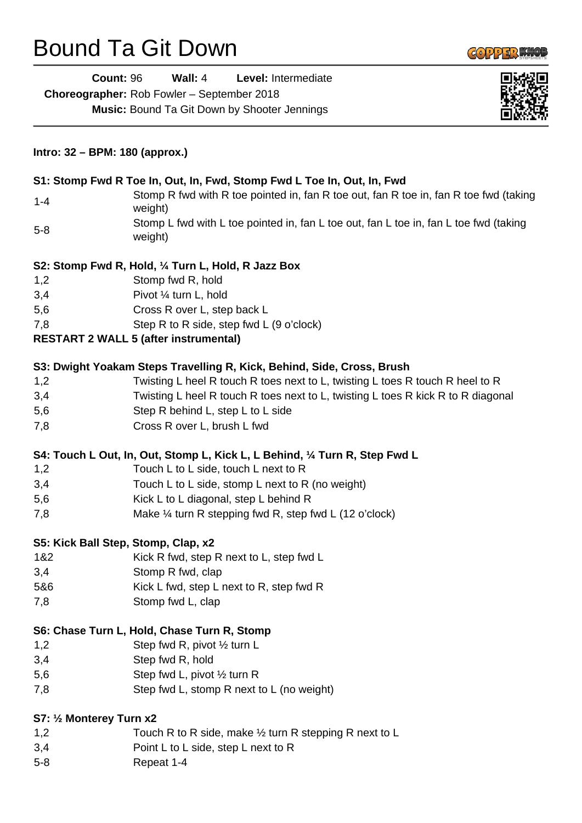## Bound Ta Git Down



| <b>Count: 96</b>               | Wall: $4$                                           | Level: Intermediate                                                         |                                                                                       |  |
|--------------------------------|-----------------------------------------------------|-----------------------------------------------------------------------------|---------------------------------------------------------------------------------------|--|
|                                | Choreographer: Rob Fowler - September 2018          |                                                                             |                                                                                       |  |
|                                | <b>Music: Bound Ta Git Down by Shooter Jennings</b> |                                                                             |                                                                                       |  |
|                                |                                                     |                                                                             |                                                                                       |  |
| Intro: 32 - BPM: 180 (approx.) |                                                     |                                                                             |                                                                                       |  |
|                                |                                                     | S1: Stomp Fwd R Toe In, Out, In, Fwd, Stomp Fwd L Toe In, Out, In, Fwd      |                                                                                       |  |
| $1 - 4$                        | weight)                                             |                                                                             | Stomp R fwd with R toe pointed in, fan R toe out, fan R toe in, fan R toe fwd (taking |  |
| $5 - 8$                        | weight)                                             |                                                                             | Stomp L fwd with L toe pointed in, fan L toe out, fan L toe in, fan L toe fwd (taking |  |
|                                | S2: Stomp Fwd R, Hold, 1/4 Turn L, Hold, R Jazz Box |                                                                             |                                                                                       |  |
| 1,2                            | Stomp fwd R, hold                                   |                                                                             |                                                                                       |  |
| 3,4                            | Pivot 1/4 turn L, hold                              |                                                                             |                                                                                       |  |
| 5,6                            | Cross R over L, step back L                         |                                                                             |                                                                                       |  |
| 7,8                            | Step R to R side, step fwd L (9 o'clock)            |                                                                             |                                                                                       |  |
|                                | <b>RESTART 2 WALL 5 (after instrumental)</b>        |                                                                             |                                                                                       |  |
|                                |                                                     | S3: Dwight Yoakam Steps Travelling R, Kick, Behind, Side, Cross, Brush      |                                                                                       |  |
| 1,2                            |                                                     |                                                                             | Twisting L heel R touch R toes next to L, twisting L toes R touch R heel to R         |  |
| 3,4                            |                                                     |                                                                             | Twisting L heel R touch R toes next to L, twisting L toes R kick R to R diagonal      |  |
| 5,6                            | Step R behind L, step L to L side                   |                                                                             |                                                                                       |  |
| 7,8                            | Cross R over L, brush L fwd                         |                                                                             |                                                                                       |  |
|                                |                                                     | S4: Touch L Out, In, Out, Stomp L, Kick L, L Behind, 1/4 Turn R, Step Fwd L |                                                                                       |  |
| 1,2                            | Touch L to L side, touch L next to R                |                                                                             |                                                                                       |  |
| 3,4                            |                                                     | Touch L to L side, stomp L next to R (no weight)                            |                                                                                       |  |
| 5,6                            | Kick L to L diagonal, step L behind R               |                                                                             |                                                                                       |  |
| 7,8                            |                                                     | Make $\frac{1}{4}$ turn R stepping fwd R, step fwd L (12 o'clock)           |                                                                                       |  |
|                                | S5: Kick Ball Step, Stomp, Clap, x2                 |                                                                             |                                                                                       |  |
| 1&2                            | Kick R fwd, step R next to L, step fwd L            |                                                                             |                                                                                       |  |
| 3,4                            | Stomp R fwd, clap                                   |                                                                             |                                                                                       |  |
| 5&6                            | Kick L fwd, step L next to R, step fwd R            |                                                                             |                                                                                       |  |
| 7,8                            | Stomp fwd L, clap                                   |                                                                             |                                                                                       |  |
|                                | S6: Chase Turn L, Hold, Chase Turn R, Stomp         |                                                                             |                                                                                       |  |
| 1,2                            | Step fwd R, pivot 1/2 turn L                        |                                                                             |                                                                                       |  |
| 3,4                            | Step fwd R, hold                                    |                                                                             |                                                                                       |  |
| 5,6                            | Step fwd L, pivot 1/2 turn R                        |                                                                             |                                                                                       |  |
| 7,8                            |                                                     | Step fwd L, stomp R next to L (no weight)                                   |                                                                                       |  |
| S7: 1/2 Monterey Turn x2       |                                                     |                                                                             |                                                                                       |  |
| 1,2                            |                                                     | Touch R to R side, make $\frac{1}{2}$ turn R stepping R next to L           |                                                                                       |  |
| 3,4                            | Point L to L side, step L next to R                 |                                                                             |                                                                                       |  |
| $5 - 8$                        | Repeat 1-4                                          |                                                                             |                                                                                       |  |
|                                |                                                     |                                                                             |                                                                                       |  |
|                                |                                                     |                                                                             |                                                                                       |  |